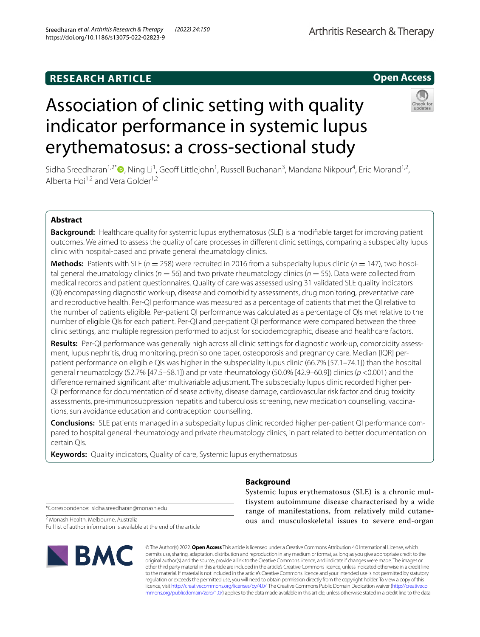# **RESEARCH ARTICLE**

# **Open Access**

# Association of clinic setting with quality indicator performance in systemic lupus erythematosus: a cross-sectional study



Sidha Sreedharan<sup>1[,](http://orcid.org/0000-0002-1227-9083)2\*</sup>®, Ning Li<sup>1</sup>, Geoff Littlejohn<sup>1</sup>, Russell Buchanan<sup>3</sup>, Mandana Nikpour<sup>4</sup>, Eric Morand<sup>1,2</sup>, Alberta Hoi<sup>1,2</sup> and Vera Golder<sup>1,2</sup>

# **Abstract**

**Background:** Healthcare quality for systemic lupus erythematosus (SLE) is a modifable target for improving patient outcomes. We aimed to assess the quality of care processes in diferent clinic settings, comparing a subspecialty lupus clinic with hospital-based and private general rheumatology clinics.

**Methods:** Patients with SLE ( $n = 258$ ) were recruited in 2016 from a subspecialty lupus clinic ( $n = 147$ ), two hospital general rheumatology clinics ( $n = 56$ ) and two private rheumatology clinics ( $n = 55$ ). Data were collected from medical records and patient questionnaires. Quality of care was assessed using 31 validated SLE quality indicators (QI) encompassing diagnostic work-up, disease and comorbidity assessments, drug monitoring, preventative care and reproductive health. Per-QI performance was measured as a percentage of patients that met the QI relative to the number of patients eligible. Per-patient QI performance was calculated as a percentage of QIs met relative to the number of eligible QIs for each patient. Per-QI and per-patient QI performance were compared between the three clinic settings, and multiple regression performed to adjust for sociodemographic, disease and healthcare factors.

**Results:** Per-QI performance was generally high across all clinic settings for diagnostic work-up, comorbidity assessment, lupus nephritis, drug monitoring, prednisolone taper, osteoporosis and pregnancy care. Median [IQR] perpatient performance on eligible QIs was higher in the subspeciality lupus clinic (66.7% [57.1–74.1]) than the hospital general rheumatology (52.7% [47.5–58.1]) and private rheumatology (50.0% [42.9–60.9]) clinics (*p* <0.001) and the diference remained signifcant after multivariable adjustment. The subspecialty lupus clinic recorded higher per-QI performance for documentation of disease activity, disease damage, cardiovascular risk factor and drug toxicity assessments, pre-immunosuppression hepatitis and tuberculosis screening, new medication counselling, vaccinations, sun avoidance education and contraception counselling.

**Conclusions:** SLE patients managed in a subspecialty lupus clinic recorded higher per-patient QI performance compared to hospital general rheumatology and private rheumatology clinics, in part related to better documentation on certain QIs.

**Keywords:** Quality indicators, Quality of care, Systemic lupus erythematosus

**Background**

\*Correspondence: sidha.sreedharan@monash.edu

2 Monash Health, Melbourne, Australia

Full list of author information is available at the end of the article



© The Author(s) 2022. **Open Access** This article is licensed under a Creative Commons Attribution 4.0 International License, which permits use, sharing, adaptation, distribution and reproduction in any medium or format, as long as you give appropriate credit to the original author(s) and the source, provide a link to the Creative Commons licence, and indicate if changes were made. The images or other third party material in this article are included in the article's Creative Commons licence, unless indicated otherwise in a credit line to the material. If material is not included in the article's Creative Commons licence and your intended use is not permitted by statutory regulation or exceeds the permitted use, you will need to obtain permission directly from the copyright holder. To view a copy of this licence, visit [http://creativecommons.org/licenses/by/4.0/.](http://creativecommons.org/licenses/by/4.0/) The Creative Commons Public Domain Dedication waiver ([http://creativeco](http://creativecommons.org/publicdomain/zero/1.0/) [mmons.org/publicdomain/zero/1.0/](http://creativecommons.org/publicdomain/zero/1.0/)) applies to the data made available in this article, unless otherwise stated in a credit line to the data.

Systemic lupus erythematosus (SLE) is a chronic multisystem autoimmune disease characterised by a wide range of manifestations, from relatively mild cutaneous and musculoskeletal issues to severe end-organ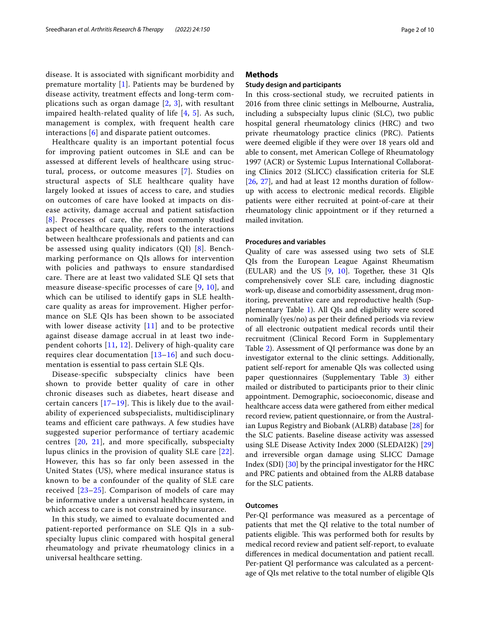disease. It is associated with significant morbidity and premature mortality  $[1]$  $[1]$ . Patients may be burdened by disease activity, treatment effects and long-term complications such as organ damage  $[2, 3]$  $[2, 3]$  $[2, 3]$  $[2, 3]$ , with resultant impaired health-related quality of life [[4,](#page-8-3) [5](#page-8-4)]. As such, management is complex, with frequent health care interactions [[6\]](#page-8-5) and disparate patient outcomes.

Healthcare quality is an important potential focus for improving patient outcomes in SLE and can be assessed at different levels of healthcare using structural, process, or outcome measures [[7](#page-8-6)]. Studies on structural aspects of SLE healthcare quality have largely looked at issues of access to care, and studies on outcomes of care have looked at impacts on disease activity, damage accrual and patient satisfaction [[8](#page-8-7)]. Processes of care, the most commonly studied aspect of healthcare quality, refers to the interactions between healthcare professionals and patients and can be assessed using quality indicators (QI) [[8](#page-8-7)]. Benchmarking performance on QIs allows for intervention with policies and pathways to ensure standardised care. There are at least two validated SLE QI sets that measure disease-specific processes of care [\[9](#page-8-8), [10](#page-8-9)], and which can be utilised to identify gaps in SLE healthcare quality as areas for improvement. Higher performance on SLE QIs has been shown to be associated with lower disease activity  $[11]$  $[11]$  $[11]$  and to be protective against disease damage accrual in at least two independent cohorts  $[11, 12]$  $[11, 12]$  $[11, 12]$  $[11, 12]$ . Delivery of high-quality care requires clear documentation [[13–](#page-8-12)[16](#page-9-0)] and such documentation is essential to pass certain SLE QIs.

Disease-specific subspecialty clinics have been shown to provide better quality of care in other chronic diseases such as diabetes, heart disease and certain cancers  $[17-19]$  $[17-19]$  $[17-19]$ . This is likely due to the availability of experienced subspecialists, multidisciplinary teams and efficient care pathways. A few studies have suggested superior performance of tertiary academic centres [[20](#page-9-3), [21](#page-9-4)], and more specifically, subspecialty lupus clinics in the provision of quality SLE care [[22\]](#page-9-5). However, this has so far only been assessed in the United States (US), where medical insurance status is known to be a confounder of the quality of SLE care received [[23–](#page-9-6)[25](#page-9-7)]. Comparison of models of care may be informative under a universal healthcare system, in which access to care is not constrained by insurance.

In this study, we aimed to evaluate documented and patient-reported performance on SLE QIs in a subspecialty lupus clinic compared with hospital general rheumatology and private rheumatology clinics in a universal healthcare setting.

# **Methods**

## **Study design and participants**

In this cross-sectional study, we recruited patients in 2016 from three clinic settings in Melbourne, Australia, including a subspecialty lupus clinic (SLC), two public hospital general rheumatology clinics (HRC) and two private rheumatology practice clinics (PRC). Patients were deemed eligible if they were over 18 years old and able to consent, met American College of Rheumatology 1997 (ACR) or Systemic Lupus International Collaborating Clinics 2012 (SLICC) classifcation criteria for SLE [[26,](#page-9-8) [27](#page-9-9)], and had at least 12 months duration of followup with access to electronic medical records. Eligible patients were either recruited at point-of-care at their rheumatology clinic appointment or if they returned a mailed invitation.

## **Procedures and variables**

Quality of care was assessed using two sets of SLE QIs from the European League Against Rheumatism (EULAR) and the US [[9,](#page-8-8) [10\]](#page-8-9). Together, these 31 QIs comprehensively cover SLE care, including diagnostic work-up, disease and comorbidity assessment, drug monitoring, preventative care and reproductive health (Supplementary Table [1\)](#page-8-13). All QIs and eligibility were scored nominally (yes/no) as per their defned periods via review of all electronic outpatient medical records until their recruitment (Clinical Record Form in Supplementary Table [2\)](#page-8-14). Assessment of QI performance was done by an investigator external to the clinic settings. Additionally, patient self-report for amenable QIs was collected using paper questionnaires (Supplementary Table [3](#page-8-15)) either mailed or distributed to participants prior to their clinic appointment. Demographic, socioeconomic, disease and healthcare access data were gathered from either medical record review, patient questionnaire, or from the Australian Lupus Registry and Biobank (ALRB) database [\[28](#page-9-10)] for the SLC patients. Baseline disease activity was assessed using SLE Disease Activity Index 2000 (SLEDAI2K) [[29](#page-9-11)] and irreversible organ damage using SLICC Damage Index (SDI) [\[30](#page-9-12)] by the principal investigator for the HRC and PRC patients and obtained from the ALRB database for the SLC patients.

# **Outcomes**

Per-QI performance was measured as a percentage of patients that met the QI relative to the total number of patients eligible. This was performed both for results by medical record review and patient self-report, to evaluate diferences in medical documentation and patient recall. Per-patient QI performance was calculated as a percentage of QIs met relative to the total number of eligible QIs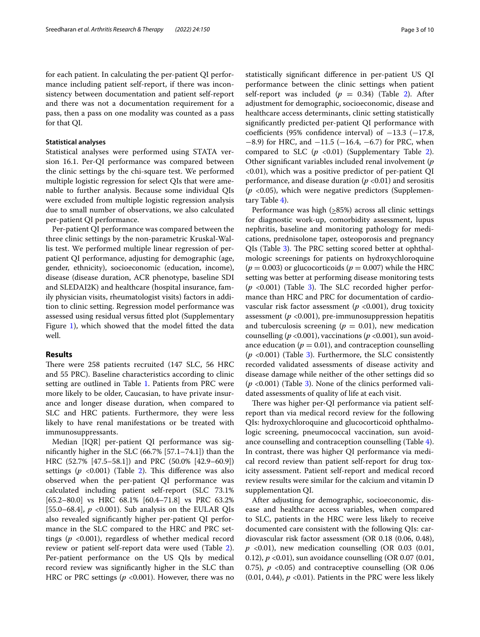for each patient. In calculating the per-patient QI performance including patient self-report, if there was inconsistency between documentation and patient self-report and there was not a documentation requirement for a pass, then a pass on one modality was counted as a pass for that QI.

### **Statistical analyses**

Statistical analyses were performed using STATA version 16.1. Per-QI performance was compared between the clinic settings by the chi-square test. We performed multiple logistic regression for select QIs that were amenable to further analysis. Because some individual QIs were excluded from multiple logistic regression analysis due to small number of observations, we also calculated per-patient QI performance.

Per-patient QI performance was compared between the three clinic settings by the non-parametric Kruskal-Wallis test. We performed multiple linear regression of perpatient QI performance, adjusting for demographic (age, gender, ethnicity), socioeconomic (education, income), disease (disease duration, ACR phenotype, baseline SDI and SLEDAI2K) and healthcare (hospital insurance, family physician visits, rheumatologist visits) factors in addition to clinic setting. Regression model performance was assessed using residual versus ftted plot (Supplementary Figure [1](#page-8-16)), which showed that the model fitted the data well.

# **Results**

There were 258 patients recruited (147 SLC, 56 HRC and 55 PRC). Baseline characteristics according to clinic setting are outlined in Table [1.](#page-3-0) Patients from PRC were more likely to be older, Caucasian, to have private insurance and longer disease duration, when compared to SLC and HRC patients. Furthermore, they were less likely to have renal manifestations or be treated with immunosuppressants.

Median [IQR] per-patient QI performance was signifcantly higher in the SLC (66.7% [57.1–74.1]) than the HRC (52.7% [47.5–58.1]) and PRC (50.0% [42.9–60.9]) settings  $(p \le 0.001)$  (Table [2\)](#page-4-0). This difference was also observed when the per-patient QI performance was calculated including patient self-report (SLC 73.1% [65.2–80.0] vs HRC 68.1% [60.4–71.8] vs PRC 63.2% [55.0–68.4], *p* <0.001). Sub analysis on the EULAR QIs also revealed signifcantly higher per-patient QI performance in the SLC compared to the HRC and PRC settings (*p* <0.001), regardless of whether medical record review or patient self-report data were used (Table [2](#page-4-0)). Per-patient performance on the US QIs by medical record review was signifcantly higher in the SLC than HRC or PRC settings ( $p < 0.001$ ). However, there was no statistically signifcant diference in per-patient US QI performance between the clinic settings when patient self-report was included  $(p = 0.34)$  (Table [2\)](#page-4-0). After adjustment for demographic, socioeconomic, disease and healthcare access determinants, clinic setting statistically signifcantly predicted per-patient QI performance with coefficients (95% confidence interval) of  $-13.3$  ( $-17.8$ ,  $-8.9$ ) for HRC, and  $-11.5$  ( $-16.4$ ,  $-6.7$ ) for PRC, when compared to SLC  $(p \lt 0.01)$  (Supplementary Table [2](#page-8-14)). Other signifcant variables included renal involvement (*p* <0.01), which was a positive predictor of per-patient QI performance, and disease duration  $(p \lt 0.01)$  and serositis (*p* <0.05), which were negative predictors (Supplementary Table [4\)](#page-8-17).

Performance was high  $(≥85%)$  across all clinic settings for diagnostic work-up, comorbidity assessment, lupus nephritis, baseline and monitoring pathology for medications, prednisolone taper, osteoporosis and pregnancy QIs (Table [3](#page-5-0)). The PRC setting scored better at ophthalmologic screenings for patients on hydroxychloroquine  $(p = 0.003)$  or glucocorticoids  $(p = 0.007)$  while the HRC setting was better at performing disease monitoring tests  $(p \lt 0.001)$  (Table [3](#page-5-0)). The SLC recorded higher performance than HRC and PRC for documentation of cardiovascular risk factor assessment ( $p$  <0.001), drug toxicity assessment (*p* <0.001), pre-immunosuppression hepatitis and tuberculosis screening ( $p = 0.01$ ), new medication counselling ( $p$  <0.001), vaccinations ( $p$  <0.001), sun avoidance education ( $p = 0.01$ ), and contraception counselling (*p* <0.001) (Table [3](#page-5-0)). Furthermore, the SLC consistently recorded validated assessments of disease activity and disease damage while neither of the other settings did so (*p* <0.001) (Table [3](#page-5-0)). None of the clinics performed validated assessments of quality of life at each visit.

There was higher per-QI performance via patient selfreport than via medical record review for the following QIs: hydroxychloroquine and glucocorticoid ophthalmologic screening, pneumococcal vaccination, sun avoidance counselling and contraception counselling (Table [4](#page-7-0)). In contrast, there was higher QI performance via medical record review than patient self-report for drug toxicity assessment. Patient self-report and medical record review results were similar for the calcium and vitamin D supplementation QI.

After adjusting for demographic, socioeconomic, disease and healthcare access variables, when compared to SLC, patients in the HRC were less likely to receive documented care consistent with the following QIs: cardiovascular risk factor assessment (OR 0.18 (0.06, 0.48),  $p$  <0.01), new medication counselling (OR 0.03 (0.01, 0.12), *p* <0.01), sun avoidance counselling (OR 0.07 (0.01, 0.75),  $p \le 0.05$  and contraceptive counselling (OR 0.06)  $(0.01, 0.44)$ ,  $p < 0.01$ ). Patients in the PRC were less likely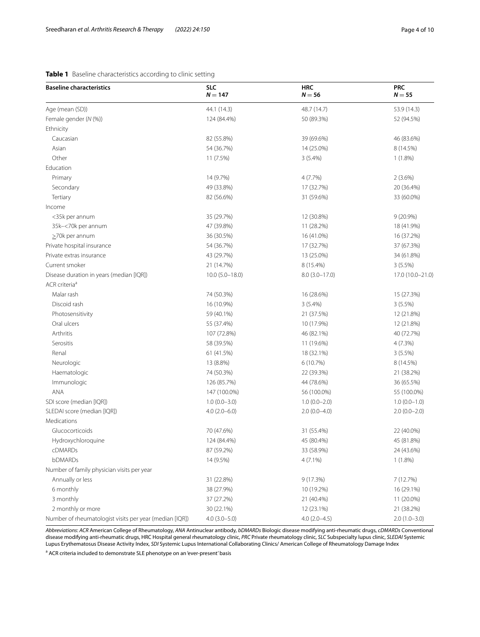# <span id="page-3-0"></span>**Table 1** Baseline characteristics according to clinic setting

| <b>Baseline characteristics</b>                         | <b>SLC</b><br>$N = 147$ | <b>HRC</b><br>$N = 56$ | <b>PRC</b><br>$N = 55$ |
|---------------------------------------------------------|-------------------------|------------------------|------------------------|
| Age (mean (SD))                                         | 44.1 (14.3)             | 48.7 (14.7)            | 53.9 (14.3)            |
| Female gender (N (%))                                   | 124 (84.4%)             | 50 (89.3%)             | 52 (94.5%)             |
| Ethnicity                                               |                         |                        |                        |
| Caucasian                                               | 82 (55.8%)              | 39 (69.6%)             | 46 (83.6%)             |
| Asian                                                   | 54 (36.7%)              | 14 (25.0%)             | 8 (14.5%)              |
| Other                                                   | 11 (7.5%)               | $3(5.4\%)$             | $1(1.8\%)$             |
| Education                                               |                         |                        |                        |
| Primary                                                 | 14 (9.7%)               | 4(7.7%)                | 2(3.6%)                |
| Secondary                                               | 49 (33.8%)              | 17 (32.7%)             | 20 (36.4%)             |
| Tertiary                                                | 82 (56.6%)              | 31 (59.6%)             | 33 (60.0%)             |
| Income                                                  |                         |                        |                        |
| <35k per annum                                          | 35 (29.7%)              | 12 (30.8%)             | $9(20.9\%)$            |
| 35k-<70k per annum                                      | 47 (39.8%)              | 11 (28.2%)             | 18 (41.9%)             |
| $\geq$ 70k per annum                                    | 36 (30.5%)              | 16 (41.0%)             | 16 (37.2%)             |
| Private hospital insurance                              | 54 (36.7%)              | 17 (32.7%)             | 37 (67.3%)             |
| Private extras insurance                                | 43 (29.7%)              | 13 (25.0%)             | 34 (61.8%)             |
| Current smoker                                          | 21 (14.7%)              | 8 (15.4%)              | $3(5.5\%)$             |
| Disease duration in years (median [IQR])                | $10.0 (5.0 - 18.0)$     | $8.0(3.0-17.0)$        | 17.0 (10.0-21.0)       |
| ACR criteria <sup>a</sup>                               |                         |                        |                        |
| Malar rash                                              | 74 (50.3%)              | 16 (28.6%)             | 15 (27.3%)             |
| Discoid rash                                            | 16 (10.9%)              | 3(5.4%)                | $3(5.5\%)$             |
| Photosensitivity                                        | 59 (40.1%)              | 21 (37.5%)             | 12 (21.8%)             |
| Oral ulcers                                             | 55 (37.4%)              | 10 (17.9%)             | 12 (21.8%)             |
| Arthritis                                               | 107 (72.8%)             | 46 (82.1%)             | 40 (72.7%)             |
| Serositis                                               | 58 (39.5%)              | 11 (19.6%)             | 4(7.3%)                |
| Renal                                                   | 61 (41.5%)              | 18 (32.1%)             | 3(5.5%)                |
| Neurologic                                              | 13 (8.8%)               | 6(10.7%)               | 8 (14.5%)              |
| Haematologic                                            | 74 (50.3%)              | 22 (39.3%)             | 21 (38.2%)             |
| Immunologic                                             | 126 (85.7%)             | 44 (78.6%)             | 36 (65.5%)             |
| ANA                                                     | 147 (100.0%)            | 56 (100.0%)            | 55 (100.0%)            |
| SDI score (median [IQR])                                | $1.0(0.0 - 3.0)$        | $1.0(0.0-2.0)$         | $1.0(0.0-1.0)$         |
| SLEDAI score (median [IQR])                             | $4.0(2.0-6.0)$          | $2.0(0.0-4.0)$         | $2.0(0.0-2.0)$         |
| Medications                                             |                         |                        |                        |
| Glucocorticoids                                         | 70 (47.6%)              | 31 (55.4%)             | 22 (40.0%)             |
| Hydroxychloroquine                                      | 124 (84.4%)             | 45 (80.4%)             | 45 (81.8%)             |
| cDMARDs                                                 | 87 (59.2%)              | 33 (58.9%)             | 24 (43.6%)             |
| bDMARDs                                                 | 14 (9.5%)               | $4(7.1\%)$             | $1(1.8\%)$             |
| Number of family physician visits per year              |                         |                        |                        |
| Annually or less                                        | 31 (22.8%)              | 9 (17.3%)              | 7 (12.7%)              |
| 6 monthly                                               | 38 (27.9%)              | 10 (19.2%)             | 16 (29.1%)             |
| 3 monthly                                               | 37 (27.2%)              | 21 (40.4%)             | 11 (20.0%)             |
| 2 monthly or more                                       | 30 (22.1%)              | 12 (23.1%)             | 21 (38.2%)             |
| Number of rheumatologist visits per year (median [IQR]) | $4.0(3.0 - 5.0)$        | $4.0(2.0-4.5)$         | $2.0(1.0-3.0)$         |

*Abbreviations*: *ACR* American College of Rheumatology, *ANA* Antinuclear antibody, *bDMARDs* Biologic disease modifying anti-rheumatic drugs, *cDMARDs* Conventional disease modifying anti-rheumatic drugs, HRC Hospital general rheumatology clinic, *PRC* Private rheumatology clinic, *SLC* Subspecialty lupus clinic, *SLEDAI* Systemic Lupus Erythematosus Disease Activity Index, *SDI* Systemic Lupus International Collaborating Clinics/ American College of Rheumatology Damage Index

<sup>a</sup> ACR criteria included to demonstrate SLE phenotype on an 'ever-present' basis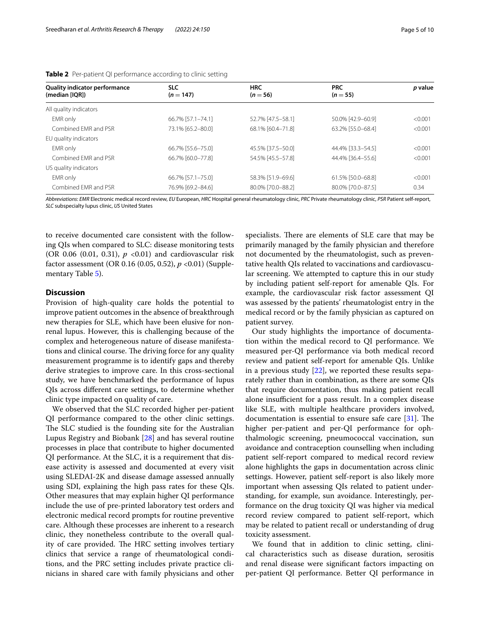| <b>Quality indicator performance</b> | <b>SLC</b>        | <b>HRC</b>        | <b>PRC</b>        | p value |  |
|--------------------------------------|-------------------|-------------------|-------------------|---------|--|
| (median [IOR])                       | $(n = 147)$       | $(n = 56)$        | $(n = 55)$        |         |  |
| All quality indicators               |                   |                   |                   |         |  |
| EMR only                             | 66.7% [57.1-74.1] | 52.7% [47.5-58.1] | 50.0% [42.9-60.9] | < 0.001 |  |
| Combined FMR and PSR                 | 73.1% [65.2-80.0] | 68.1% [60.4-71.8] | 63.2% [55.0-68.4] | < 0.001 |  |
| EU quality indicators                |                   |                   |                   |         |  |
| EMR only                             | 66.7% [55.6-75.0] | 45.5% [37.5-50.0] | 44.4% [33.3-54.5] | < 0.001 |  |
| Combined FMR and PSR                 | 66.7% [60.0-77.8] | 54.5% [45.5-57.8] | 44.4% [36.4-55.6] | < 0.001 |  |
| US quality indicators                |                   |                   |                   |         |  |
| EMR only                             | 66.7% [57.1-75.0] | 58.3% [51.9-69.6] | 61.5% [50.0-68.8] | < 0.001 |  |
| Combined EMR and PSR                 | 76.9% [69.2-84.6] | 80.0% [70.0-88.2] | 80.0% [70.0-87.5] | 0.34    |  |

<span id="page-4-0"></span>**Table 2** Per-patient QI performance according to clinic setting

*Abbreviations*: *EMR* Electronic medical record review, *EU* European, *HRC* Hospital general rheumatology clinic, *PRC* Private rheumatology clinic, *PSR* Patient self-report, *SLC* subspecialty lupus clinic, *US* United States

to receive documented care consistent with the following QIs when compared to SLC: disease monitoring tests (OR 0.06 (0.01, 0.31), *p* <0.01) and cardiovascular risk factor assessment (OR 0.16 (0.05, 0.52), *p* <0.01) (Supple-mentary Table [5\)](#page-8-18).

# **Discussion**

Provision of high-quality care holds the potential to improve patient outcomes in the absence of breakthrough new therapies for SLE, which have been elusive for nonrenal lupus. However, this is challenging because of the complex and heterogeneous nature of disease manifestations and clinical course. The driving force for any quality measurement programme is to identify gaps and thereby derive strategies to improve care. In this cross-sectional study, we have benchmarked the performance of lupus QIs across diferent care settings, to determine whether clinic type impacted on quality of care.

We observed that the SLC recorded higher per-patient QI performance compared to the other clinic settings. The SLC studied is the founding site for the Australian Lupus Registry and Biobank [\[28\]](#page-9-10) and has several routine processes in place that contribute to higher documented QI performance. At the SLC, it is a requirement that disease activity is assessed and documented at every visit using SLEDAI-2K and disease damage assessed annually using SDI, explaining the high pass rates for these QIs. Other measures that may explain higher QI performance include the use of pre-printed laboratory test orders and electronic medical record prompts for routine preventive care. Although these processes are inherent to a research clinic, they nonetheless contribute to the overall quality of care provided. The HRC setting involves tertiary clinics that service a range of rheumatological conditions, and the PRC setting includes private practice clinicians in shared care with family physicians and other

specialists. There are elements of SLE care that may be primarily managed by the family physician and therefore not documented by the rheumatologist, such as preventative health QIs related to vaccinations and cardiovascular screening. We attempted to capture this in our study by including patient self-report for amenable QIs. For example, the cardiovascular risk factor assessment QI was assessed by the patients' rheumatologist entry in the medical record or by the family physician as captured on patient survey.

Our study highlights the importance of documentation within the medical record to QI performance. We measured per-QI performance via both medical record review and patient self-report for amenable QIs. Unlike in a previous study  $[22]$  $[22]$ , we reported these results separately rather than in combination, as there are some QIs that require documentation, thus making patient recall alone insufficient for a pass result. In a complex disease like SLE, with multiple healthcare providers involved, documentation is essential to ensure safe care  $[31]$  $[31]$ . The higher per-patient and per-QI performance for ophthalmologic screening, pneumococcal vaccination, sun avoidance and contraception counselling when including patient self-report compared to medical record review alone highlights the gaps in documentation across clinic settings. However, patient self-report is also likely more important when assessing QIs related to patient understanding, for example, sun avoidance. Interestingly, performance on the drug toxicity QI was higher via medical record review compared to patient self-report, which may be related to patient recall or understanding of drug toxicity assessment.

We found that in addition to clinic setting, clinical characteristics such as disease duration, serositis and renal disease were signifcant factors impacting on per-patient QI performance. Better QI performance in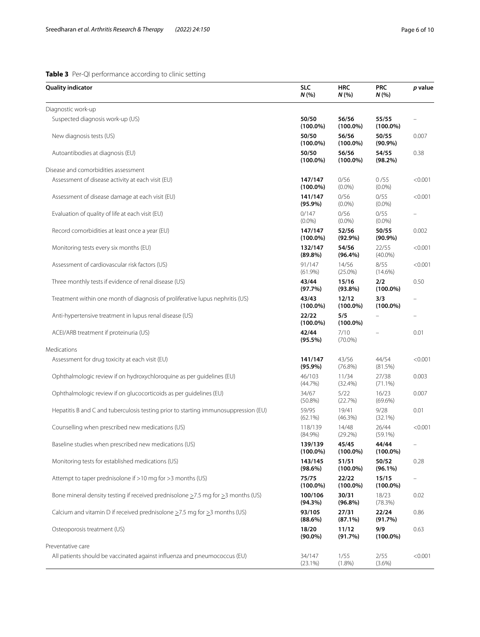# <span id="page-5-0"></span>**Table 3** Per-QI performance according to clinic setting

| Quality indicator                                                                   | <b>SLC</b><br>N(%      | <b>HRC</b><br>N(%    | <b>PRC</b><br>N(%    | p value |
|-------------------------------------------------------------------------------------|------------------------|----------------------|----------------------|---------|
| Diagnostic work-up                                                                  |                        |                      |                      |         |
| Suspected diagnosis work-up (US)                                                    | 50/50<br>$(100.0\%)$   | 56/56<br>$(100.0\%)$ | 55/55<br>$(100.0\%)$ |         |
| New diagnosis tests (US)                                                            | 50/50<br>$(100.0\%)$   | 56/56<br>$(100.0\%)$ | 50/55<br>$(90.9\%)$  | 0.007   |
| Autoantibodies at diagnosis (EU)                                                    | 50/50<br>$(100.0\%)$   | 56/56<br>$(100.0\%)$ | 54/55<br>$(98.2\%)$  | 0.38    |
| Disease and comorbidities assessment                                                |                        |                      |                      |         |
| Assessment of disease activity at each visit (EU)                                   | 147/147<br>$(100.0\%)$ | 0/56<br>$(0.0\%)$    | 0/55<br>$(0.0\%)$    | < 0.001 |
| Assessment of disease damage at each visit (EU)                                     | 141/147<br>$(95.9\%)$  | 0/56<br>$(0.0\%)$    | 0/55<br>$(0.0\%)$    | < 0.001 |
| Evaluation of quality of life at each visit (EU)                                    | 0/147<br>$(0.0\%)$     | 0/56<br>$(0.0\%)$    | 0/55<br>$(0.0\%)$    |         |
| Record comorbidities at least once a year (EU)                                      | 147/147<br>$(100.0\%)$ | 52/56<br>$(92.9\%)$  | 50/55<br>$(90.9\%)$  | 0.002   |
| Monitoring tests every six months (EU)                                              | 132/147<br>$(89.8\%)$  | 54/56<br>$(96.4\%)$  | 22/55<br>$(40.0\%)$  | < 0.001 |
| Assessment of cardiovascular risk factors (US)                                      | 91/147<br>$(61.9\%)$   | 14/56<br>$(25.0\%)$  | 8/55<br>$(14.6\%)$   | < 0.001 |
| Three monthly tests if evidence of renal disease (US)                               | 43/44<br>(97.7%)       | 15/16<br>$(93.8\%)$  | 2/2<br>$(100.0\%)$   | 0.50    |
| Treatment within one month of diagnosis of proliferative lupus nephritis (US)       | 43/43<br>$(100.0\%)$   | 12/12<br>$(100.0\%)$ | 3/3<br>$(100.0\%)$   |         |
| Anti-hypertensive treatment in lupus renal disease (US)                             | 22/22<br>$(100.0\%)$   | 5/5<br>$(100.0\%)$   |                      |         |
| ACEI/ARB treatment if proteinuria (US)                                              | 42/44<br>$(95.5\%)$    | 7/10<br>$(70.0\%)$   |                      | 0.01    |
| Medications                                                                         |                        |                      |                      |         |
| Assessment for drug toxicity at each visit (EU)                                     | 141/147<br>$(95.9\%)$  | 43/56<br>(76.8%)     | 44/54<br>(81.5%)     | < 0.001 |
| Ophthalmologic review if on hydroxychloroquine as per guidelines (EU)               | 46/103<br>(44.7%)      | 11/34<br>(32.4%)     | 27/38<br>$(71.1\%)$  | 0.003   |
| Ophthalmologic review if on glucocorticoids as per guidelines (EU)                  | 34/67<br>$(50.8\%)$    | 5/22<br>(22.7%)      | 16/23<br>(69.6%)     | 0.007   |
| Hepatitis B and C and tuberculosis testing prior to starting immunosuppression (EU) | 59/95<br>$(62.1\%)$    | 19/41<br>(46.3%)     | 9/28<br>(32.1%)      | 0.01    |
| Counselling when prescribed new medications (US)                                    | 118/139<br>$(84.9\%)$  | 14/48<br>(29.2%)     | 26/44<br>$(59.1\%)$  | < 0.001 |
| Baseline studies when prescribed new medications (US)                               | 139/139<br>$(100.0\%)$ | 45/45<br>$(100.0\%)$ | 44/44<br>$(100.0\%)$ |         |
| Monitoring tests for established medications (US)                                   | 143/145<br>(98.6%)     | 51/51<br>$(100.0\%)$ | 50/52<br>$(96.1\%)$  | 0.28    |
| Attempt to taper prednisolone if >10 mg for >3 months (US)                          | 75/75<br>$(100.0\%)$   | 22/22<br>$(100.0\%)$ | 15/15<br>$(100.0\%)$ |         |
| Bone mineral density testing if received prednisolone >7.5 mg for >3 months (US)    | 100/106<br>(94.3%)     | 30/31<br>$(96.8\%)$  | 18/23<br>(78.3%)     | 0.02    |
| Calcium and vitamin D if received prednisolone $>7.5$ mg for $>3$ months (US)       | 93/105<br>(88.6%)      | 27/31<br>$(87.1\%)$  | 22/24<br>(91.7%)     | 0.86    |
| Osteoporosis treatment (US)                                                         | 18/20<br>$(90.0\%)$    | 11/12<br>(91.7%)     | 9/9<br>$(100.0\%)$   | 0.63    |
| Preventative care                                                                   |                        |                      |                      |         |
| All patients should be vaccinated against influenza and pneumococcus (EU)           | 34/147<br>$(23.1\%)$   | 1/55<br>$(1.8\%)$    | 2/55<br>$(3.6\%)$    | < 0.001 |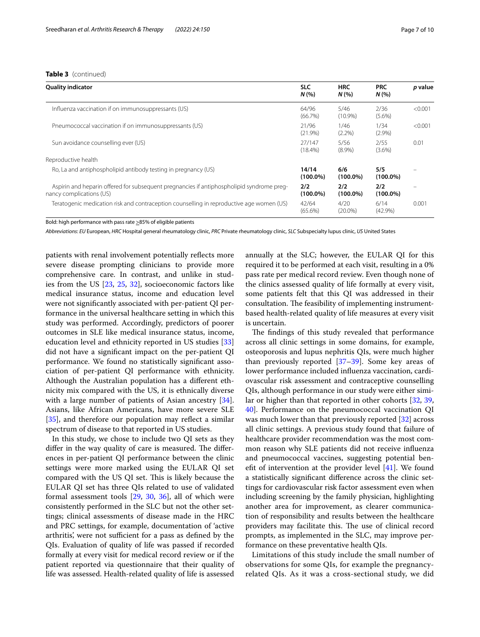| <b>Quality indicator</b>                                                                                              | <b>SLC</b><br>N(%    | <b>HRC</b><br>N(%  | <b>PRC</b><br>N(%  | p value |
|-----------------------------------------------------------------------------------------------------------------------|----------------------|--------------------|--------------------|---------|
| Influenza vaccination if on immunosuppressants (US)                                                                   | 64/96<br>(66.7%)     | 5/46<br>$(10.9\%)$ | 2/36<br>$(5.6\%)$  | < 0.001 |
| Pneumococcal vaccination if on immunosuppressants (US)                                                                | 21/96<br>(21.9%)     | 1/46<br>$(2.2\%)$  | 1/34<br>$(2.9\%)$  | < 0.001 |
| Sun avoidance counselling ever (US)                                                                                   | 27/147<br>$(18.4\%)$ | 5/56<br>$(8.9\%)$  | 2/55<br>$(3.6\%)$  | 0.01    |
| Reproductive health                                                                                                   |                      |                    |                    |         |
| Ro, La and antiphospholipid antibody testing in pregnancy (US)                                                        | 14/14<br>$(100.0\%)$ | 6/6<br>$(100.0\%)$ | 5/5<br>$(100.0\%)$ |         |
| Aspirin and heparin offered for subsequent pregnancies if antiphospholipid syndrome preg-<br>nancy complications (US) | 2/2<br>$(100.0\%)$   | 2/2<br>$(100.0\%)$ | 2/2<br>$(100.0\%)$ |         |
| Teratogenic medication risk and contraception counselling in reproductive age women (US)                              | 42/64<br>$(65.6\%)$  | 4/20<br>$(20.0\%)$ | 6/14<br>$(42.9\%)$ | 0.001   |

Bold: high performance with pass rate  $\geq$ 85% of eligible patients

*Abbreviations*: *EU* European, *HRC* Hospital general rheumatology clinic, *PRC* Private rheumatology clinic, *SLC* Subspecialty lupus clinic, *US* United States

patients with renal involvement potentially refects more severe disease prompting clinicians to provide more comprehensive care. In contrast, and unlike in studies from the US [[23,](#page-9-6) [25](#page-9-7), [32\]](#page-9-14), socioeconomic factors like medical insurance status, income and education level were not signifcantly associated with per-patient QI performance in the universal healthcare setting in which this study was performed. Accordingly, predictors of poorer outcomes in SLE like medical insurance status, income, education level and ethnicity reported in US studies [[33](#page-9-15)] did not have a signifcant impact on the per-patient QI performance. We found no statistically signifcant association of per-patient QI performance with ethnicity. Although the Australian population has a diferent ethnicity mix compared with the US, it is ethnically diverse with a large number of patients of Asian ancestry [\[34](#page-9-16)]. Asians, like African Americans, have more severe SLE [[35\]](#page-9-17), and therefore our population may reflect a similar spectrum of disease to that reported in US studies.

In this study, we chose to include two QI sets as they differ in the way quality of care is measured. The differences in per-patient QI performance between the clinic settings were more marked using the EULAR QI set compared with the US QI set. This is likely because the EULAR QI set has three QIs related to use of validated formal assessment tools [[29,](#page-9-11) [30,](#page-9-12) [36\]](#page-9-18), all of which were consistently performed in the SLC but not the other settings; clinical assessments of disease made in the HRC and PRC settings, for example, documentation of 'active arthritis', were not sufficient for a pass as defined by the QIs. Evaluation of quality of life was passed if recorded formally at every visit for medical record review or if the patient reported via questionnaire that their quality of life was assessed. Health-related quality of life is assessed annually at the SLC; however, the EULAR QI for this required it to be performed at each visit, resulting in a 0% pass rate per medical record review. Even though none of the clinics assessed quality of life formally at every visit, some patients felt that this QI was addressed in their consultation. The feasibility of implementing instrumentbased health-related quality of life measures at every visit is uncertain.

The findings of this study revealed that performance across all clinic settings in some domains, for example, osteoporosis and lupus nephritis QIs, were much higher than previously reported  $[37-39]$  $[37-39]$  $[37-39]$ . Some key areas of lower performance included infuenza vaccination, cardiovascular risk assessment and contraceptive counselling QIs, although performance in our study were either similar or higher than that reported in other cohorts [[32](#page-9-14), [39](#page-9-20), [40\]](#page-9-21). Performance on the pneumococcal vaccination QI was much lower than that previously reported [[32\]](#page-9-14) across all clinic settings. A previous study found that failure of healthcare provider recommendation was the most common reason why SLE patients did not receive infuenza and pneumococcal vaccines, suggesting potential benefit of intervention at the provider level  $[41]$  $[41]$ . We found a statistically signifcant diference across the clinic settings for cardiovascular risk factor assessment even when including screening by the family physician, highlighting another area for improvement, as clearer communication of responsibility and results between the healthcare providers may facilitate this. The use of clinical record prompts, as implemented in the SLC, may improve performance on these preventative health QIs.

Limitations of this study include the small number of observations for some QIs, for example the pregnancyrelated QIs. As it was a cross-sectional study, we did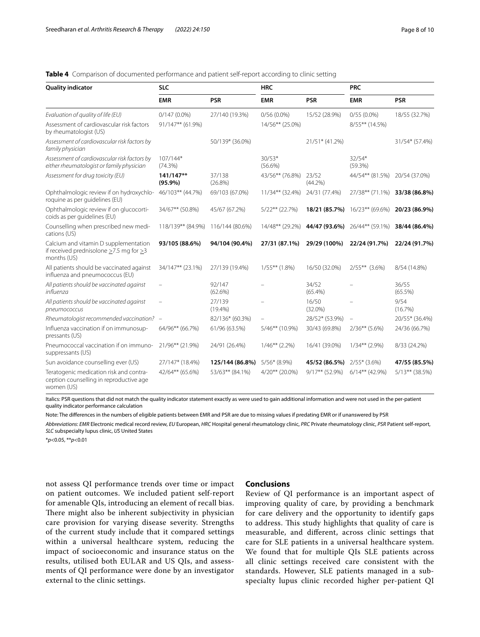# <span id="page-7-0"></span>**Table 4** Comparison of documented performance and patient self-report according to clinic setting

| <b>Quality indicator</b>                                                                                    | <b>SLC</b>               |                      | <b>HRC</b>             |                     | <b>PRC</b>               |                     |
|-------------------------------------------------------------------------------------------------------------|--------------------------|----------------------|------------------------|---------------------|--------------------------|---------------------|
|                                                                                                             | <b>EMR</b>               | <b>PSR</b>           | <b>EMR</b>             | <b>PSR</b>          | <b>EMR</b>               | <b>PSR</b>          |
| Evaluation of quality of life (EU)                                                                          | $0/147(0.0\%)$           | 27/140 (19.3%)       | $0/56(0.0\%)$          | 15/52 (28.9%)       | $0/55(0.0\%)$            | 18/55 (32.7%)       |
| Assessment of cardiovascular risk factors<br>by rheumatologist (US)                                         | 91/147** (61.9%)         |                      | 14/56** (25.0%)        |                     | 8/55** (14.5%)           |                     |
| Assessment of cardiovascular risk factors by<br>family physician                                            |                          | 50/139* (36.0%)      |                        | 21/51* (41.2%)      |                          | 31/54* (57.4%)      |
| Assessment of cardiovascular risk factors by<br>either rheumatologist or family physician                   | $107/144*$<br>$(74.3\%)$ |                      | $30/53*$<br>$(56.6\%)$ |                     | $32/54*$<br>(59.3%)      |                     |
| Assessment for drug toxicity (EU)                                                                           | 141/147**<br>$(95.9\%)$  | 37/138<br>$(26.8\%)$ | 43/56** (76.8%)        | 23/52<br>$(44.2\%)$ | 44/54** (81.5%)          | 20/54 (37.0%)       |
| Ophthalmologic review if on hydroxychlo-<br>roquine as per quidelines (EU)                                  | 46/103** (44.7%)         | 69/103 (67.0%)       | 11/34** (32.4%)        | 24/31 (77.4%)       | 27/38** (71.1%)          | 33/38 (86.8%)       |
| Ophthalmologic review if on glucocorti-<br>coids as per quidelines (EU)                                     | 34/67** (50.8%)          | 45/67 (67.2%)        | $5/22***$ (22.7%)      | 18/21 (85.7%)       | 16/23** (69.6%)          | 20/23 (86.9%)       |
| Counselling when prescribed new medi-<br>cations (US)                                                       | 118/139** (84.9%)        | 116/144 (80.6%)      | 14/48** (29.2%)        | 44/47 (93.6%)       | 26/44** (59.1%)          | 38/44 (86.4%)       |
| Calcium and vitamin D supplementation<br>if received prednisolone $\geq$ 7.5 mg for $\geq$ 3<br>months (US) | 93/105 (88.6%)           | 94/104 (90.4%)       | 27/31 (87.1%)          | 29/29 (100%)        | 22/24 (91.7%)            | 22/24 (91.7%)       |
| All patients should be vaccinated against<br>influenza and pneumococcus (EU)                                | 34/147** (23.1%)         | 27/139 (19.4%)       | $1/55***$ (1.8%)       | 16/50 (32.0%)       | $2/55***$ (3.6%)         | 8/54 (14.8%)        |
| All patients should be vaccinated against<br>influenza                                                      |                          | 92/147<br>$(62.6\%)$ |                        | 34/52<br>$(65.4\%)$ |                          | 36/55<br>$(65.5\%)$ |
| All patients should be vaccinated against<br>pneumococcus                                                   | $\qquad \qquad -$        | 27/139<br>$(19.4\%)$ |                        | 16/50<br>$(32.0\%)$ |                          | 9/54<br>(16.7%)     |
| Rheumatologist recommended vaccination? -                                                                   |                          | 82/136* (60.3%)      |                        | 28/52* (53.9%)      | $\overline{\phantom{m}}$ | 20/55* (36.4%)      |
| Influenza vaccination if on immunosup-<br>pressants (US)                                                    | 64/96** (66.7%)          | 61/96 (63.5%)        | 5/46** (10.9%)         | 30/43 (69.8%)       | $2/36**$ (5.6%)          | 24/36 (66.7%)       |
| Pneumococcal vaccination if on immuno-<br>suppressants (US)                                                 | 21/96** (21.9%)          | 24/91 (26.4%)        | $1/46**$ (2.2%)        | 16/41 (39.0%)       | $1/34**$ (2.9%)          | 8/33 (24.2%)        |
| Sun avoidance counselling ever (US)                                                                         | 27/147* (18.4%)          | 125/144 (86.8%)      | $5/56*(8.9\%)$         | 45/52 (86.5%)       | $2/55*(3.6%)$            | 47/55 (85.5%)       |
| Teratogenic medication risk and contra-<br>ception counselling in reproductive age<br>women (US)            | 42/64** (65.6%)          | 53/63** (84.1%)      | $4/20**$ (20.0%)       | $9/17***$ (52.9%)   | 6/14** (42.9%)           | $5/13***$ (38.5%)   |

Italics: PSR questions that did not match the quality indicator statement exactly as were used to gain additional information and were not used in the per-patient quality indicator performance calculation

Note: The diferences in the numbers of eligible patients between EMR and PSR are due to missing values if predating EMR or if unanswered by PSR

*Abbreviations*: *EMR* Electronic medical record review, *EU* European, *HRC* Hospital general rheumatology clinic, *PRC* Private rheumatology clinic, *PSR* Patient self-report, *SLC* subspecialty lupus clinic, *US* United States

\**p*<0.05, \*\**p*<0.01

not assess QI performance trends over time or impact on patient outcomes. We included patient self-report for amenable QIs, introducing an element of recall bias. There might also be inherent subjectivity in physician care provision for varying disease severity. Strengths of the current study include that it compared settings within a universal healthcare system, reducing the impact of socioeconomic and insurance status on the results, utilised both EULAR and US QIs, and assessments of QI performance were done by an investigator external to the clinic settings.

## **Conclusions**

Review of QI performance is an important aspect of improving quality of care, by providing a benchmark for care delivery and the opportunity to identify gaps to address. This study highlights that quality of care is measurable, and diferent, across clinic settings that care for SLE patients in a universal healthcare system. We found that for multiple QIs SLE patients across all clinic settings received care consistent with the standards. However, SLE patients managed in a subspecialty lupus clinic recorded higher per-patient QI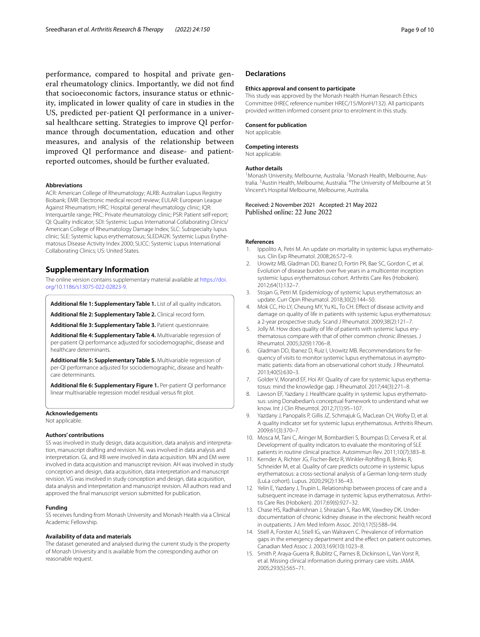performance, compared to hospital and private general rheumatology clinics. Importantly, we did not fnd that socioeconomic factors, insurance status or ethnicity, implicated in lower quality of care in studies in the US, predicted per-patient QI performance in a universal healthcare setting. Strategies to improve QI performance through documentation, education and other measures, and analysis of the relationship between improved QI performance and disease- and patientreported outcomes, should be further evaluated.

#### **Abbreviations**

ACR: American College of Rheumatology; ALRB: Australian Lupus Registry Biobank; EMR: Electronic medical record review; EULAR: European League Against Rheumatism; HRC: Hospital general rheumatology clinic; IQR: Interquartile range; PRC: Private rheumatology clinic; PSR: Patient self-report; QI: Quality indicator; SDI: Systemic Lupus International Collaborating Clinics/ American College of Rheumatology Damage Index; SLC: Subspecialty lupus clinic; SLE: Systemic lupus erythematosus; SLEDAI2K: Systemic Lupus Erythematosus Disease Activity Index 2000; SLICC: Systemic Lupus International Collaborating Clinics; US: United States.

# **Supplementary Information**

The online version contains supplementary material available at [https://doi.](https://doi.org/10.1186/s13075-022-02823-9) [org/10.1186/s13075-022-02823-9](https://doi.org/10.1186/s13075-022-02823-9).

<span id="page-8-13"></span>**Additional fle 1: Supplementary Table 1.** List of all quality indicators.

**Additional fle 2: Supplementary Table 2.** Clinical record form.

**Additional fle 3: Supplementary Table 3.** Patient questionnaire.

**Additional fle 4: Supplementary Table 4.** Multivariable regression of per-patient QI performance adjusted for sociodemographic, disease and healthcare determinants.

<span id="page-8-18"></span>**Additional fle 5: Supplementary Table 5.** Multivariable regression of per-QI performance adjusted for sociodemographic, disease and healthcare determinants.

<span id="page-8-16"></span>**Additional fle 6: Supplementary Figure 1.** Per-patient QI performance linear multivariable regression model residual versus ft plot.

# **Acknowledgements**

Not applicable.

#### **Authors' contributions**

SS was involved in study design, data acquisition, data analysis and interpretation, manuscript drafting and revision. NL was involved in data analysis and interpretation. GL and RB were involved in data acquisition. MN and EM were involved in data acquisition and manuscript revision. AH was involved in study conception and design, data acquisition, data interpretation and manuscript revision. VG was involved in study conception and design, data acquisition, data analysis and interpretation and manuscript revision. All authors read and approved the fnal manuscript version submitted for publication.

#### **Funding**

SS receives funding from Monash University and Monash Health via a Clinical Academic Fellowship.

#### **Availability of data and materials**

The dataset generated and analysed during the current study is the property of Monash University and is available from the corresponding author on reasonable request.

#### **Declarations**

#### **Ethics approval and consent to participate**

This study was approved by the Monash Health Human Research Ethics Committee (HREC reference number HREC/15/MonH/132). All participants provided written informed consent prior to enrolment in this study.

#### **Consent for publication**

Not applicable.

#### **Competing interests**

Not applicable.

#### **Author details**

<sup>1</sup> Monash University, Melbourne, Australia. <sup>2</sup> Monash Health, Melbourne, Australia.<sup>3</sup> Austin Health, Melbourne, Australia. <sup>4</sup>The University of Melbourne at St Vincent's Hospital Melbourne, Melbourne, Australia.

Received: 2 November 2021 Accepted: 21 May 2022 Published online: 22 June 2022

#### **References**

- <span id="page-8-0"></span>Ippolito A, Petri M. An update on mortality in systemic lupus erythematosus. Clin Exp Rheumatol. 2008;26:S72–9.
- <span id="page-8-1"></span>2. Urowitz MB, Gladman DD, Ibanez D, Fortin PR, Bae SC, Gordon C, et al. Evolution of disease burden over fve years in a multicenter inception systemic lupus erythematosus cohort. Arthritis Care Res (Hoboken). 2012;64(1):132–7.
- <span id="page-8-2"></span>3. Stojan G, Petri M. Epidemiology of systemic lupus erythematosus: an update. Curr Opin Rheumatol. 2018;30(2):144–50.
- <span id="page-8-15"></span><span id="page-8-14"></span><span id="page-8-3"></span>4. Mok CC, Ho LY, Cheung MY, Yu KL, To CH. Efect of disease activity and damage on quality of life in patients with systemic lupus erythematosus: a 2-year prospective study. Scand J Rheumatol. 2009;38(2):121–7.
- <span id="page-8-17"></span><span id="page-8-4"></span>5. Jolly M. How does quality of life of patients with systemic lupus erythematosus compare with that of other common chronic illnesses. J Rheumatol. 2005;32(9):1706–8.
- <span id="page-8-5"></span>6. Gladman DD, Ibanez D, Ruiz I, Urowitz MB. Recommendations for frequency of visits to monitor systemic lupus erythematosus in asymptomatic patients: data from an observational cohort study. J Rheumatol. 2013;40(5):630–3.
- <span id="page-8-6"></span>7. Golder V, Morand EF, Hoi AY. Quality of care for systemic lupus erythematosus: mind the knowledge gap. J Rheumatol. 2017;44(3):271–8.
- <span id="page-8-7"></span>8. Lawson EF, Yazdany J. Healthcare quality in systemic lupus erythematosus: using Donabedian's conceptual framework to understand what we know. Int J Clin Rheumtol. 2012;7(1):95–107.
- <span id="page-8-8"></span>9. Yazdany J, Panopalis P, Gillis JZ, Schmajuk G, MacLean CH, Wofsy D, et al. A quality indicator set for systemic lupus erythematosus. Arthritis Rheum. 2009;61(3):370–7.
- <span id="page-8-9"></span>10. Mosca M, Tani C, Aringer M, Bombardieri S, Boumpas D, Cervera R, et al. Development of quality indicators to evaluate the monitoring of SLE patients in routine clinical practice. Autoimmun Rev. 2011;10(7):383–8.
- <span id="page-8-10"></span>11. Kernder A, Richter JG, Fischer-Betz R, Winkler-Rohlfng B, Brinks R, Schneider M, et al. Quality of care predicts outcome in systemic lupus erythematosus: a cross-sectional analysis of a German long-term study (LuLa cohort). Lupus. 2020;29(2):136–43.
- <span id="page-8-11"></span>12. Yelin E, Yazdany J, Trupin L. Relationship between process of care and a subsequent increase in damage in systemic lupus erythematosus. Arthritis Care Res (Hoboken). 2017;69(6):927–32.
- <span id="page-8-12"></span>13. Chase HS, Radhakrishnan J, Shirazian S, Rao MK, Vawdrey DK. Underdocumentation of chronic kidney disease in the electronic health record in outpatients. J Am Med Inform Assoc. 2010;17(5):588–94.
- 14. Stiell A, Forster AJ, Stiell IG, van Walraven C. Prevalence of information gaps in the emergency department and the effect on patient outcomes. Canadian Med Assoc J. 2003;169(10):1023–8.
- 15. Smith P, Araya-Guerra R, Bublitz C, Parnes B, Dickinson L, Van Vorst R, et al. Missing clinical information during primary care visits. JAMA. 2005;293(5):565–71.